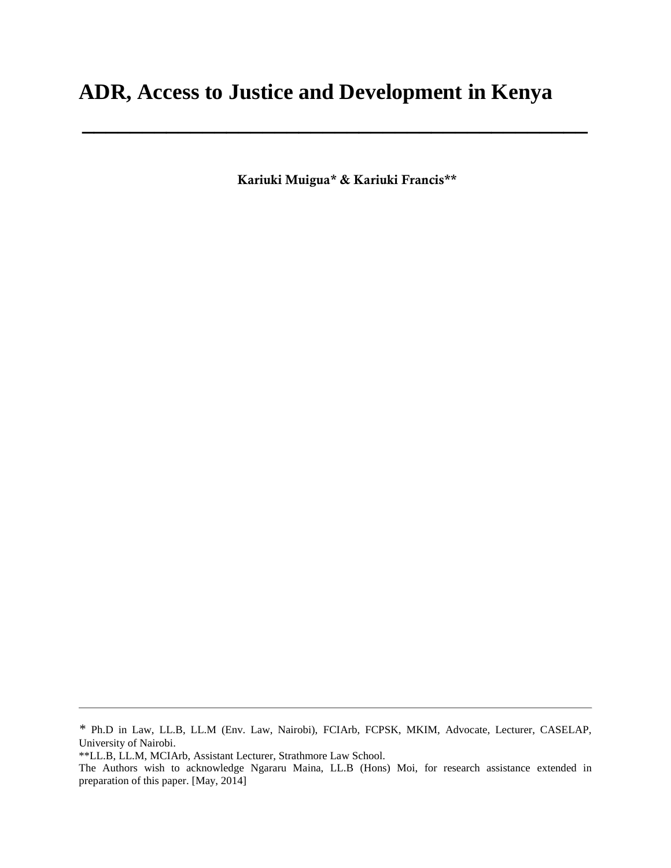# **ADR, Access to Justice and Development in Kenya**

**Kariuki Muigua\* & Kariuki Francis\*\***

**\_\_\_\_\_\_\_\_\_\_\_\_\_\_\_\_\_\_\_\_\_\_\_\_\_\_\_\_\_\_\_\_\_\_\_\_\_\_\_\_\_\_**

*<sup>\*</sup>* Ph.D in Law, LL.B, LL.M (Env. Law, Nairobi), FCIArb, FCPSK, MKIM, Advocate, Lecturer, CASELAP, University of Nairobi.

<sup>\*\*</sup>LL.B, LL.M, MCIArb, Assistant Lecturer, Strathmore Law School.

The Authors wish to acknowledge Ngararu Maina, LL.B (Hons) Moi, for research assistance extended in preparation of this paper. [May, 2014]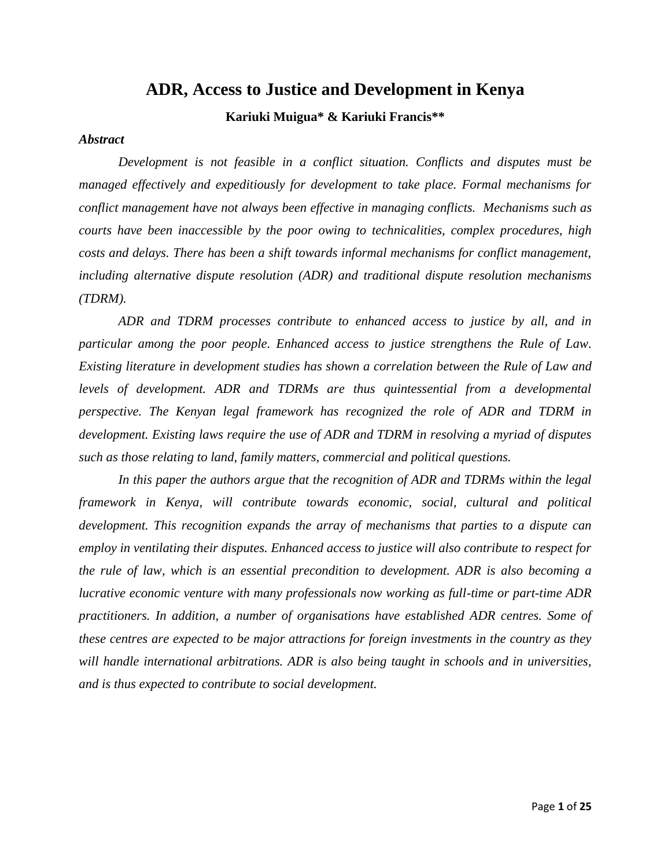## **ADR, Access to Justice and Development in Kenya**

#### **Kariuki Muigua\* & Kariuki Francis\*\***

#### *Abstract*

*Development is not feasible in a conflict situation. Conflicts and disputes must be managed effectively and expeditiously for development to take place. Formal mechanisms for conflict management have not always been effective in managing conflicts. Mechanisms such as courts have been inaccessible by the poor owing to technicalities, complex procedures, high costs and delays. There has been a shift towards informal mechanisms for conflict management, including alternative dispute resolution (ADR) and traditional dispute resolution mechanisms (TDRM).*

*ADR and TDRM processes contribute to enhanced access to justice by all, and in particular among the poor people. Enhanced access to justice strengthens the Rule of Law. Existing literature in development studies has shown a correlation between the Rule of Law and levels of development. ADR and TDRMs are thus quintessential from a developmental perspective. The Kenyan legal framework has recognized the role of ADR and TDRM in development. Existing laws require the use of ADR and TDRM in resolving a myriad of disputes such as those relating to land, family matters, commercial and political questions.* 

In this paper the authors argue that the recognition of ADR and TDRMs within the legal *framework in Kenya, will contribute towards economic, social, cultural and political development. This recognition expands the array of mechanisms that parties to a dispute can employ in ventilating their disputes. Enhanced access to justice will also contribute to respect for the rule of law, which is an essential precondition to development. ADR is also becoming a lucrative economic venture with many professionals now working as full-time or part-time ADR practitioners. In addition, a number of organisations have established ADR centres. Some of these centres are expected to be major attractions for foreign investments in the country as they will handle international arbitrations. ADR is also being taught in schools and in universities, and is thus expected to contribute to social development.*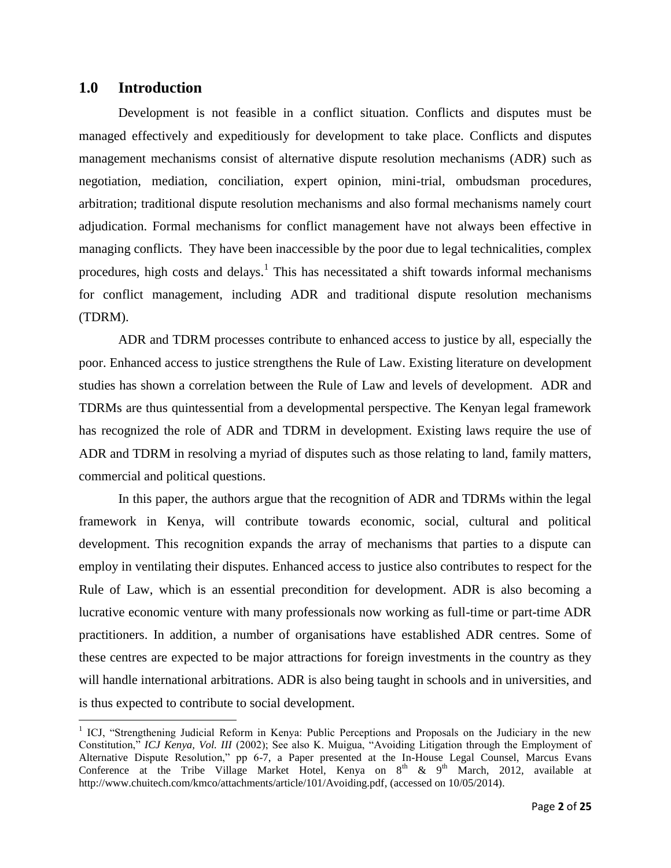## **1.0 Introduction**

 $\overline{a}$ 

Development is not feasible in a conflict situation. Conflicts and disputes must be managed effectively and expeditiously for development to take place. Conflicts and disputes management mechanisms consist of alternative dispute resolution mechanisms (ADR) such as negotiation, mediation, conciliation, expert opinion, mini-trial, ombudsman procedures, arbitration; traditional dispute resolution mechanisms and also formal mechanisms namely court adjudication. Formal mechanisms for conflict management have not always been effective in managing conflicts. They have been inaccessible by the poor due to legal technicalities, complex procedures, high costs and delays.<sup>1</sup> This has necessitated a shift towards informal mechanisms for conflict management, including ADR and traditional dispute resolution mechanisms (TDRM).

ADR and TDRM processes contribute to enhanced access to justice by all, especially the poor. Enhanced access to justice strengthens the Rule of Law. Existing literature on development studies has shown a correlation between the Rule of Law and levels of development. ADR and TDRMs are thus quintessential from a developmental perspective. The Kenyan legal framework has recognized the role of ADR and TDRM in development. Existing laws require the use of ADR and TDRM in resolving a myriad of disputes such as those relating to land, family matters, commercial and political questions.

In this paper, the authors argue that the recognition of ADR and TDRMs within the legal framework in Kenya, will contribute towards economic, social, cultural and political development. This recognition expands the array of mechanisms that parties to a dispute can employ in ventilating their disputes. Enhanced access to justice also contributes to respect for the Rule of Law, which is an essential precondition for development. ADR is also becoming a lucrative economic venture with many professionals now working as full-time or part-time ADR practitioners. In addition, a number of organisations have established ADR centres. Some of these centres are expected to be major attractions for foreign investments in the country as they will handle international arbitrations. ADR is also being taught in schools and in universities, and is thus expected to contribute to social development.

<sup>&</sup>lt;sup>1</sup> ICJ, "Strengthening Judicial Reform in Kenya: Public Perceptions and Proposals on the Judiciary in the new Constitution," *ICJ Kenya, Vol. III* (2002); See also K. Muigua, "Avoiding Litigation through the Employment of Alternative Dispute Resolution," pp 6-7, a Paper presented at the In-House Legal Counsel, Marcus Evans Conference at the Tribe Village Market Hotel, Kenya on  $8<sup>th</sup>$  &  $9<sup>th</sup>$  March, 2012, available at [http://www.chuitech.com/kmco/attachments/article/101/Avoiding.pdf,](http://www.chuitech.com/kmco/attachments/article/101/Avoiding.pdf) (accessed on 10/05/2014).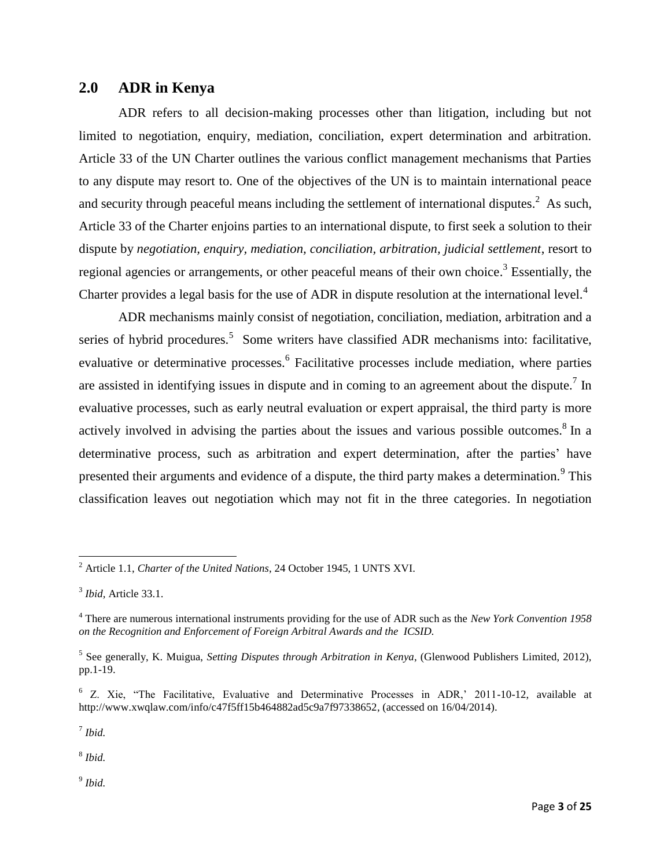## **2.0 ADR in Kenya**

ADR refers to all decision-making processes other than litigation, including but not limited to negotiation, enquiry, mediation, conciliation, expert determination and arbitration. Article 33 of the UN Charter outlines the various conflict management mechanisms that Parties to any dispute may resort to. One of the objectives of the UN is to maintain international peace and security through peaceful means including the settlement of international disputes.<sup>2</sup> As such, Article 33 of the Charter enjoins parties to an international dispute, to first seek a solution to their dispute by *negotiation, enquiry, mediation, conciliation, arbitration, judicial settlement*, resort to regional agencies or arrangements, or other peaceful means of their own choice.<sup>3</sup> Essentially, the Charter provides a legal basis for the use of ADR in dispute resolution at the international level.<sup>4</sup>

ADR mechanisms mainly consist of negotiation, conciliation, mediation, arbitration and a series of hybrid procedures.<sup>5</sup> Some writers have classified ADR mechanisms into: facilitative, evaluative or determinative processes.<sup>6</sup> Facilitative processes include mediation, where parties are assisted in identifying issues in dispute and in coming to an agreement about the dispute.<sup>7</sup> In evaluative processes, such as early neutral evaluation or expert appraisal, the third party is more actively involved in advising the parties about the issues and various possible outcomes.<sup>8</sup> In a determinative process, such as arbitration and expert determination, after the parties' have presented their arguments and evidence of a dispute, the third party makes a determination.<sup>9</sup> This classification leaves out negotiation which may not fit in the three categories. In negotiation

7 *Ibid.*

 $\overline{a}$ 

8 *Ibid.*

9 *Ibid.*

<sup>2</sup> Article 1.1, *Charter of the United Nations*, 24 October 1945, 1 UNTS XVI.

<sup>3</sup> *Ibid,* Article 33.1.

<sup>4</sup> There are numerous international instruments providing for the use of ADR such as the *New York Convention 1958 on the Recognition and Enforcement of Foreign Arbitral Awards and the ICSID.*

<sup>5</sup> See generally, K. Muigua, *Setting Disputes through Arbitration in Kenya*, (Glenwood Publishers Limited, 2012), pp.1-19.

<sup>6</sup> Z. Xie, "The Facilitative, Evaluative and Determinative Processes in ADR,' 2011-10-12, available at [http://www.xwqlaw.com/info/c47f5ff15b464882ad5c9a7f97338652,](http://www.xwqlaw.com/info/c47f5ff15b464882ad5c9a7f97338652) (accessed on 16/04/2014).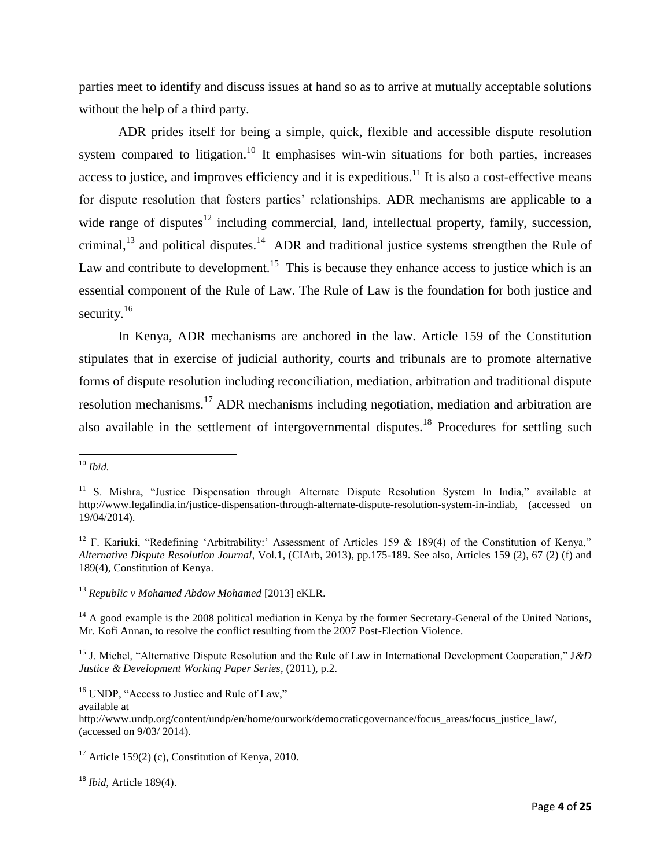parties meet to identify and discuss issues at hand so as to arrive at mutually acceptable solutions without the help of a third party.

ADR prides itself for being a simple, quick, flexible and accessible dispute resolution system compared to litigation.<sup>10</sup> It emphasises win-win situations for both parties, increases access to justice, and improves efficiency and it is expeditious.<sup>11</sup> It is also a cost-effective means for dispute resolution that fosters parties' relationships. ADR mechanisms are applicable to a wide range of disputes<sup>12</sup> including commercial, land, intellectual property, family, succession, criminal,<sup>13</sup> and political disputes.<sup>14</sup> ADR and traditional justice systems strengthen the Rule of Law and contribute to development.<sup>15</sup> This is because they enhance access to justice which is an essential component of the Rule of Law. The Rule of Law is the foundation for both justice and security.<sup>16</sup>

In Kenya, ADR mechanisms are anchored in the law. Article 159 of the Constitution stipulates that in exercise of judicial authority, courts and tribunals are to promote alternative forms of dispute resolution including reconciliation, mediation, arbitration and traditional dispute resolution mechanisms.<sup>17</sup> ADR mechanisms including negotiation, mediation and arbitration are also available in the settlement of intergovernmental disputes.<sup>18</sup> Procedures for settling such

available at

 $\overline{a}$ <sup>10</sup> *Ibid.*

<sup>&</sup>lt;sup>11</sup> S. Mishra, "Justice Dispensation through Alternate Dispute Resolution System In India," available at [http://www.legalindia.in/justice-dispensation-through-alternate-dispute-resolution-system-in-indiab,](http://www.legalindia.in/justice-dispensation-through-alternate-dispute-resolution-system-in-indiab) (accessed on 19/04/2014).

<sup>&</sup>lt;sup>12</sup> F. Kariuki, "Redefining 'Arbitrability:' Assessment of Articles 159 & 189(4) of the Constitution of Kenya," *Alternative Dispute Resolution Journal,* Vol.1, (CIArb, 2013), pp.175-189. See also, Articles 159 (2), 67 (2) (f) and 189(4), Constitution of Kenya.

<sup>13</sup> *Republic v Mohamed Abdow Mohamed* [2013] eKLR.

 $14$  A good example is the 2008 political mediation in Kenya by the former Secretary-General of the United Nations, Mr. Kofi Annan, to resolve the conflict resulting from the 2007 Post-Election Violence.

<sup>15</sup> J. Michel, "Alternative Dispute Resolution and the Rule of Law in International Development Cooperation," J*&D Justice & Development Working Paper Series*, (2011), p.2.

<sup>&</sup>lt;sup>16</sup> UNDP, "Access to Justice and Rule of Law,"

[http://www.undp.org/content/undp/en/home/ourwork/democraticgovernance/focus\\_areas/focus\\_justice\\_law/,](http://www.undp.org/content/undp/en/home/ourwork/democraticgovernance/focus_areas/focus_justice_law/) (accessed on 9/03/ 2014).

<sup>&</sup>lt;sup>17</sup> Article 159(2) (c), Constitution of Kenya, 2010.

<sup>18</sup> *Ibid*, Article 189(4).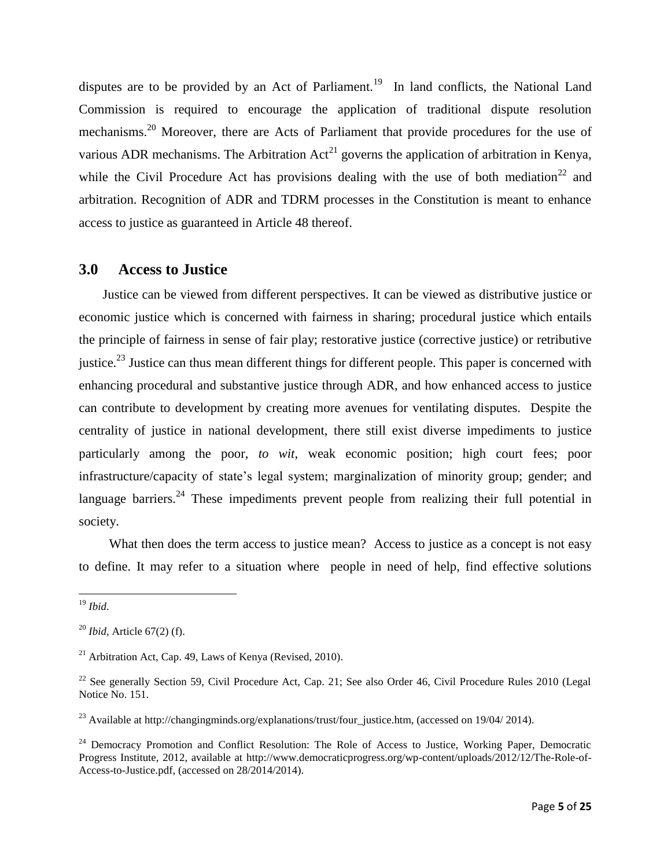disputes are to be provided by an Act of Parliament.<sup>19</sup> In land conflicts, the National Land Commission is required to encourage the application of traditional dispute resolution mechanisms.<sup>20</sup> Moreover, there are Acts of Parliament that provide procedures for the use of various ADR mechanisms. The Arbitration  $Act^{21}$  governs the application of arbitration in Kenya, while the Civil Procedure Act has provisions dealing with the use of both mediation<sup>22</sup> and arbitration. Recognition of ADR and TDRM processes in the Constitution is meant to enhance access to justice as guaranteed in Article 48 thereof.

#### **3.0 Access to Justice**

Justice can be viewed from different perspectives. It can be viewed as distributive justice or economic justice which is concerned with fairness in sharing; procedural justice which entails the principle of fairness in sense of fair play; restorative justice (corrective justice) or retributive justice.<sup>23</sup> Justice can thus mean different things for different people. This paper is concerned with enhancing procedural and substantive justice through ADR, and how enhanced access to justice can contribute to development by creating more avenues for ventilating disputes. Despite the centrality of justice in national development, there still exist diverse impediments to justice particularly among the poor, *to wit*, weak economic position; high court fees; poor infrastructure/capacity of state's legal system; marginalization of minority group; gender; and language barriers.<sup>24</sup> These impediments prevent people from realizing their full potential in society.

What then does the term access to justice mean? Access to justice as a concept is not easy to define. It may refer to a situation where people in need of help, find effective solutions

l

<sup>19</sup> *Ibid*.

<sup>20</sup> *Ibid*, Article 67(2) (f).

 $21$  Arbitration Act, Cap. 49, Laws of Kenya (Revised, 2010).

<sup>&</sup>lt;sup>22</sup> See generally Section 59, Civil Procedure Act, Cap. 21; See also Order 46, Civil Procedure Rules 2010 (Legal Notice No. 151.

<sup>&</sup>lt;sup>23</sup> Available at [http://changingminds.org/explanations/trust/four\\_justice.htm,](http://changingminds.org/explanations/trust/four_justice.htm) (accessed on 19/04/ 2014).

<sup>&</sup>lt;sup>24</sup> Democracy Promotion and Conflict Resolution: The Role of Access to Justice, Working Paper, Democratic Progress Institute, 2012, available at [http://www.democraticprogress.org/wp-content/uploads/2012/12/The-Role-of-](http://www.democraticprogress.org/wp-content/uploads/2012/12/The-Role-of-Access-to-Justice.pdf)[Access-to-Justice.pdf,](http://www.democraticprogress.org/wp-content/uploads/2012/12/The-Role-of-Access-to-Justice.pdf) (accessed on 28/2014/2014).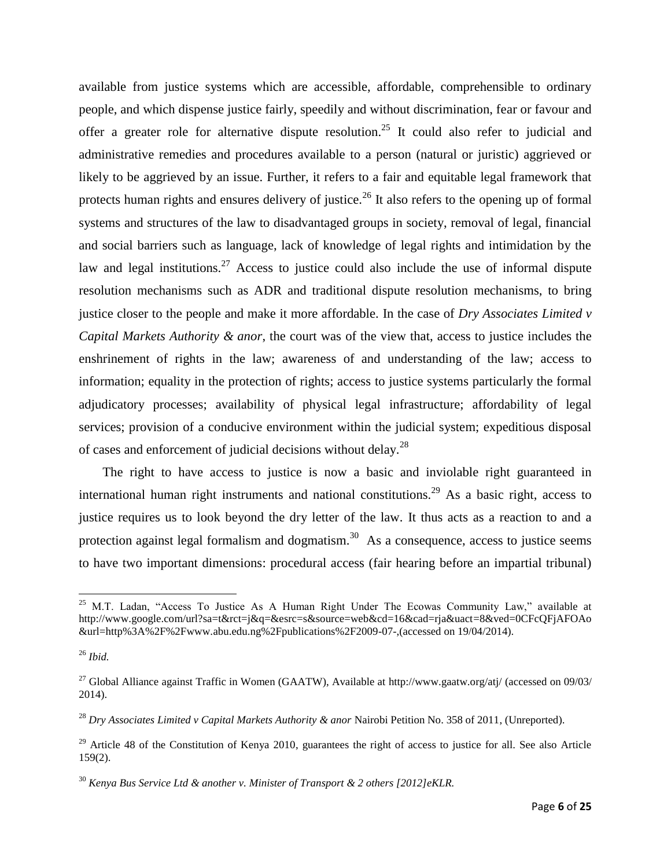available from justice systems which are accessible, affordable, comprehensible to ordinary people, and which dispense justice fairly, speedily and without discrimination, fear or favour and offer a greater role for alternative dispute resolution.<sup>25</sup> It could also refer to judicial and administrative remedies and procedures available to a person (natural or juristic) aggrieved or likely to be aggrieved by an issue. Further, it refers to a fair and equitable legal framework that protects human rights and ensures delivery of justice.<sup>26</sup> It also refers to the opening up of formal systems and structures of the law to disadvantaged groups in society, removal of legal, financial and social barriers such as language, lack of knowledge of legal rights and intimidation by the law and legal institutions.<sup>27</sup> Access to justice could also include the use of informal dispute resolution mechanisms such as ADR and traditional dispute resolution mechanisms, to bring justice closer to the people and make it more affordable. In the case of *Dry Associates Limited v Capital Markets Authority & anor*, the court was of the view that, access to justice includes the enshrinement of rights in the law; awareness of and understanding of the law; access to information; equality in the protection of rights; access to justice systems particularly the formal adjudicatory processes; availability of physical legal infrastructure; affordability of legal services; provision of a conducive environment within the judicial system; expeditious disposal of cases and enforcement of judicial decisions without delay.<sup>28</sup>

The right to have access to justice is now a basic and inviolable right guaranteed in international human right instruments and national constitutions.<sup>29</sup> As a basic right, access to justice requires us to look beyond the dry letter of the law. It thus acts as a reaction to and a protection against legal formalism and dogmatism.<sup>30</sup> As a consequence, access to justice seems to have two important dimensions: procedural access (fair hearing before an impartial tribunal)

l

<sup>&</sup>lt;sup>25</sup> M.T. Ladan, "Access To Justice As A Human Right Under The Ecowas Community Law," available at [http://www.google.com/url?sa=t&rct=j&q=&esrc=s&source=web&cd=16&cad=rja&uact=8&ved=0CFcQFjAFOAo](http://www.google.com/url?sa=t&rct=j&q=&esrc=s&source=web&cd=16&cad=rja&uact=8&ved=0CFcQFjAFOAo&url=http%3A%2F%2Fwww.abu.edu.ng%2Fpublications%2F2009-07-) [&url=http%3A%2F%2Fwww.abu.edu.ng%2Fpublications%2F2009-07-,](http://www.google.com/url?sa=t&rct=j&q=&esrc=s&source=web&cd=16&cad=rja&uact=8&ved=0CFcQFjAFOAo&url=http%3A%2F%2Fwww.abu.edu.ng%2Fpublications%2F2009-07-)(accessed on 19/04/2014).

<sup>26</sup> *Ibid.*

<sup>&</sup>lt;sup>27</sup> Global Alliance against Traffic in Women (GAATW), Available at<http://www.gaatw.org/atj/> (accessed on 09/03/ 2014).

<sup>28</sup> *Dry Associates Limited v Capital Markets Authority & anor* Nairobi Petition No. 358 of 2011, (Unreported).

 $29$  Article 48 of the Constitution of Kenya 2010, guarantees the right of access to justice for all. See also Article 159(2).

<sup>30</sup> *Kenya Bus Service Ltd & another v. Minister of Transport & 2 others [2012]eKLR.*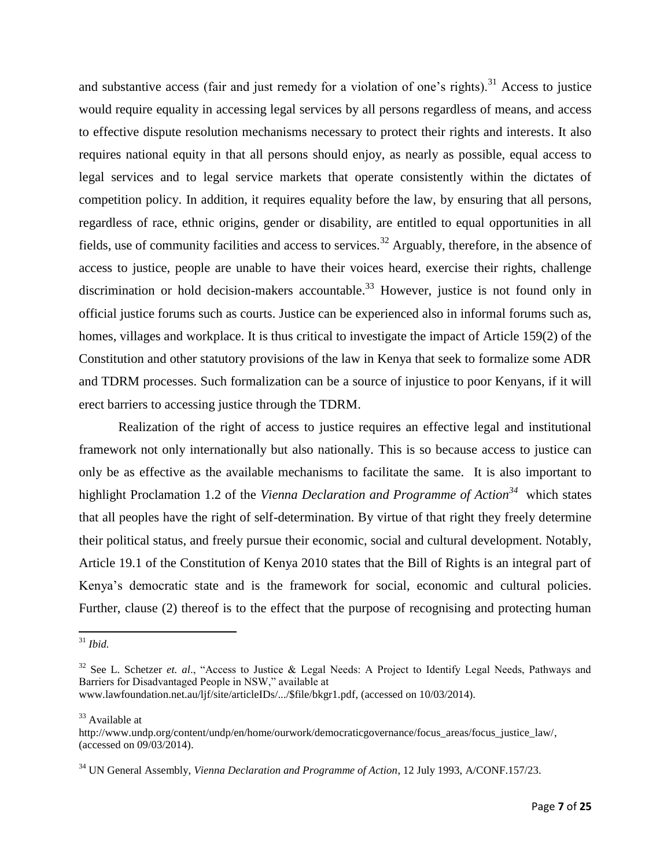and substantive access (fair and just remedy for a violation of one's rights).<sup>31</sup> Access to justice would require equality in accessing legal services by all persons regardless of means, and access to effective dispute resolution mechanisms necessary to protect their rights and interests. It also requires national equity in that all persons should enjoy, as nearly as possible, equal access to legal services and to legal service markets that operate consistently within the dictates of competition policy. In addition, it requires equality before the law, by ensuring that all persons, regardless of race, ethnic origins, gender or disability, are entitled to equal opportunities in all fields, use of community facilities and access to services.<sup>32</sup> Arguably, therefore, in the absence of access to justice, people are unable to have their voices heard, exercise their rights, challenge discrimination or hold decision-makers accountable.<sup>33</sup> However, justice is not found only in official justice forums such as courts. Justice can be experienced also in informal forums such as, homes, villages and workplace. It is thus critical to investigate the impact of Article 159(2) of the Constitution and other statutory provisions of the law in Kenya that seek to formalize some ADR and TDRM processes. Such formalization can be a source of injustice to poor Kenyans, if it will erect barriers to accessing justice through the TDRM.

Realization of the right of access to justice requires an effective legal and institutional framework not only internationally but also nationally. This is so because access to justice can only be as effective as the available mechanisms to facilitate the same. It is also important to highlight Proclamation 1.2 of the *Vienna Declaration and Programme of Action<sup>34</sup>* which states that all peoples have the right of self-determination. By virtue of that right they freely determine their political status, and freely pursue their economic, social and cultural development. Notably, Article 19.1 of the Constitution of Kenya 2010 states that the Bill of Rights is an integral part of Kenya's democratic state and is the framework for social, economic and cultural policies. Further, clause (2) thereof is to the effect that the purpose of recognising and protecting human

 $\overline{a}$ <sup>31</sup> *Ibid.*

<sup>&</sup>lt;sup>32</sup> See L. Schetzer *et. al.*, "Access to Justice & Legal Needs: A Project to Identify Legal Needs, Pathways and Barriers for Disadvantaged People in NSW," available at [www.lawfoundation.net.au/ljf/site/articleIDs/.../\\$file/bkgr1.pdf,](http://www.lawfoundation.net.au/ljf/site/articleIDs/.../$file/bkgr1.pdf) (accessed on 10/03/2014).

<sup>&</sup>lt;sup>33</sup> Available at

[http://www.undp.org/content/undp/en/home/ourwork/democraticgovernance/focus\\_areas/focus\\_justice\\_law/,](http://www.undp.org/content/undp/en/home/ourwork/democraticgovernance/focus_areas/focus_justice_law/) (accessed on 09/03/2014).

<sup>34</sup> UN General Assembly, *Vienna Declaration and Programme of Action*, 12 July 1993, A/CONF.157/23.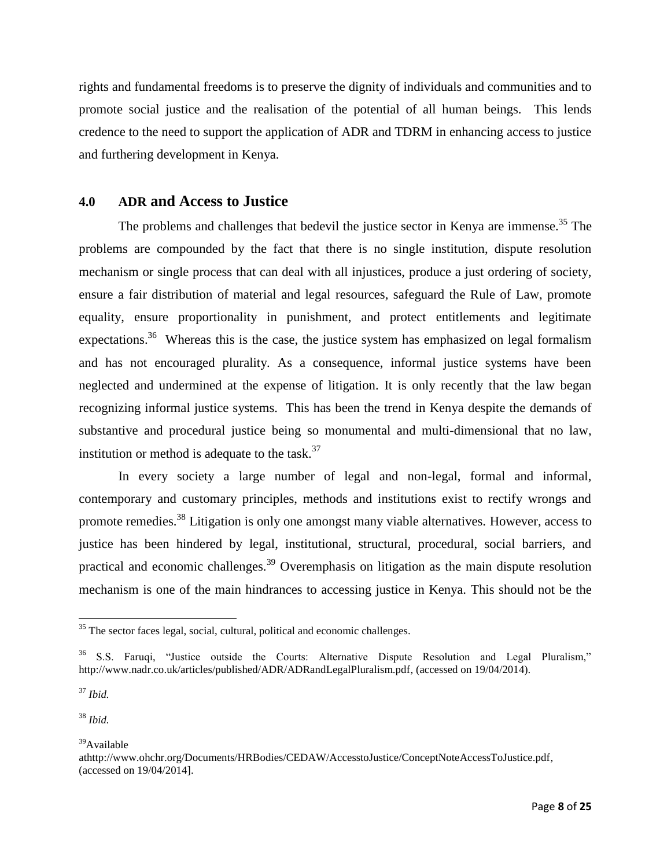rights and fundamental freedoms is to preserve the dignity of individuals and communities and to promote social justice and the realisation of the potential of all human beings. This lends credence to the need to support the application of ADR and TDRM in enhancing access to justice and furthering development in Kenya.

## **4.0 ADR and Access to Justice**

The problems and challenges that bedevil the justice sector in Kenya are immense.<sup>35</sup> The problems are compounded by the fact that there is no single institution, dispute resolution mechanism or single process that can deal with all injustices, produce a just ordering of society, ensure a fair distribution of material and legal resources, safeguard the Rule of Law, promote equality, ensure proportionality in punishment, and protect entitlements and legitimate expectations.<sup>36</sup> Whereas this is the case, the justice system has emphasized on legal formalism and has not encouraged plurality. As a consequence, informal justice systems have been neglected and undermined at the expense of litigation. It is only recently that the law began recognizing informal justice systems. This has been the trend in Kenya despite the demands of substantive and procedural justice being so monumental and multi-dimensional that no law, institution or method is adequate to the task. $37$ 

In every society a large number of legal and non-legal, formal and informal, contemporary and customary principles, methods and institutions exist to rectify wrongs and promote remedies.<sup>38</sup> Litigation is only one amongst many viable alternatives. However, access to justice has been hindered by legal, institutional, structural, procedural, social barriers, and practical and economic challenges.<sup>39</sup> Overemphasis on litigation as the main dispute resolution mechanism is one of the main hindrances to accessing justice in Kenya. This should not be the

 $35$  The sector faces legal, social, cultural, political and economic challenges.

<sup>&</sup>lt;sup>36</sup> S.S. Faruqi, "Justice outside the Courts: Alternative Dispute Resolution and Legal Pluralism," [http://www.nadr.co.uk/articles/published/ADR/ADRandLegalPluralism.pdf,](http://www.nadr.co.uk/articles/published/ADR/ADRandLegalPluralism.pdf) (accessed on 19/04/2014).

<sup>37</sup> *Ibid.*

<sup>38</sup> *Ibid.*

<sup>&</sup>lt;sup>39</sup>Available

a[thttp://www.ohchr.org/Documents/HRBodies/CEDAW/AccesstoJustice/ConceptNoteAccessToJustice.pdf,](http://www.ohchr.org/Documents/HRBodies/CEDAW/AccesstoJustice/ConceptNoteAccessToJustice.pdf) (accessed on 19/04/2014].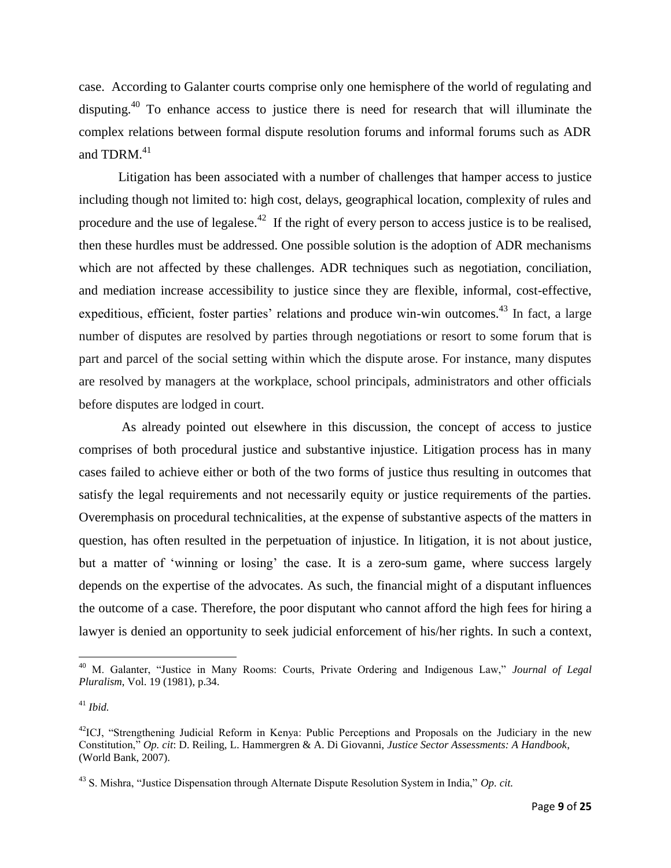case. According to Galanter courts comprise only one hemisphere of the world of regulating and disputing.<sup>40</sup> To enhance access to justice there is need for research that will illuminate the complex relations between formal dispute resolution forums and informal forums such as ADR and TDRM. $41$ 

Litigation has been associated with a number of challenges that hamper access to justice including though not limited to: high cost, delays, geographical location, complexity of rules and procedure and the use of legalese.<sup>42</sup> If the right of every person to access justice is to be realised, then these hurdles must be addressed. One possible solution is the adoption of ADR mechanisms which are not affected by these challenges. ADR techniques such as negotiation, conciliation, and mediation increase accessibility to justice since they are flexible, informal, cost-effective, expeditious, efficient, foster parties' relations and produce win-win outcomes.<sup>43</sup> In fact, a large number of disputes are resolved by parties through negotiations or resort to some forum that is part and parcel of the social setting within which the dispute arose. For instance, many disputes are resolved by managers at the workplace, school principals, administrators and other officials before disputes are lodged in court.

As already pointed out elsewhere in this discussion, the concept of access to justice comprises of both procedural justice and substantive injustice. Litigation process has in many cases failed to achieve either or both of the two forms of justice thus resulting in outcomes that satisfy the legal requirements and not necessarily equity or justice requirements of the parties. Overemphasis on procedural technicalities, at the expense of substantive aspects of the matters in question, has often resulted in the perpetuation of injustice. In litigation, it is not about justice, but a matter of 'winning or losing' the case. It is a zero-sum game, where success largely depends on the expertise of the advocates. As such, the financial might of a disputant influences the outcome of a case. Therefore, the poor disputant who cannot afford the high fees for hiring a lawyer is denied an opportunity to seek judicial enforcement of his/her rights. In such a context,

<sup>40</sup> M. Galanter, "Justice in Many Rooms: Courts, Private Ordering and Indigenous Law," *Journal of Legal Pluralism*, Vol. 19 (1981), p.34.

<sup>41</sup> *Ibid.*

<sup>&</sup>lt;sup>42</sup>ICJ, "Strengthening Judicial Reform in Kenya: Public Perceptions and Proposals on the Judiciary in the new Constitution," *Op. cit*: D. Reiling, L. Hammergren & A. Di Giovanni, *Justice Sector Assessments: A Handbook*, (World Bank, 2007).

<sup>43</sup> S. Mishra, "Justice Dispensation through Alternate Dispute Resolution System in India," *Op. cit.*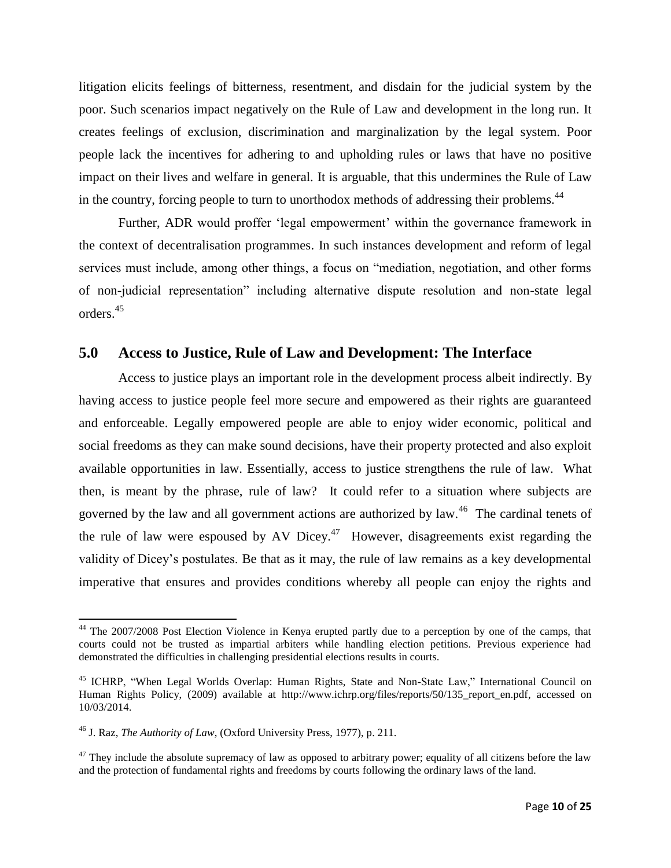litigation elicits feelings of bitterness, resentment, and disdain for the judicial system by the poor. Such scenarios impact negatively on the Rule of Law and development in the long run. It creates feelings of exclusion, discrimination and marginalization by the legal system. Poor people lack the incentives for adhering to and upholding rules or laws that have no positive impact on their lives and welfare in general. It is arguable, that this undermines the Rule of Law in the country, forcing people to turn to unorthodox methods of addressing their problems.<sup>44</sup>

Further, ADR would proffer 'legal empowerment' within the governance framework in the context of decentralisation programmes. In such instances development and reform of legal services must include, among other things, a focus on "mediation, negotiation, and other forms of non-judicial representation" including alternative dispute resolution and non-state legal orders.<sup>45</sup>

## **5.0 Access to Justice, Rule of Law and Development: The Interface**

Access to justice plays an important role in the development process albeit indirectly. By having access to justice people feel more secure and empowered as their rights are guaranteed and enforceable. Legally empowered people are able to enjoy wider economic, political and social freedoms as they can make sound decisions, have their property protected and also exploit available opportunities in law. Essentially, access to justice strengthens the rule of law. What then, is meant by the phrase, rule of law? It could refer to a situation where subjects are governed by the law and all government actions are authorized by law.<sup>46</sup> The cardinal tenets of the rule of law were espoused by AV Dicey.<sup>47</sup> However, disagreements exist regarding the validity of Dicey's postulates. Be that as it may, the rule of law remains as a key developmental imperative that ensures and provides conditions whereby all people can enjoy the rights and

<sup>&</sup>lt;sup>44</sup> The 2007/2008 Post Election Violence in Kenya erupted partly due to a perception by one of the camps, that courts could not be trusted as impartial arbiters while handling election petitions. Previous experience had demonstrated the difficulties in challenging presidential elections results in courts.

<sup>&</sup>lt;sup>45</sup> ICHRP, "When Legal Worlds Overlap: Human Rights, State and Non-State Law," International Council on Human Rights Policy, (2009) available at http://www.ichrp.org/files/reports/50/135 report en.pdf, accessed on 10/03/2014.

<sup>46</sup> J. Raz, *The Authority of Law*, (Oxford University Press, 1977), p. 211.

 $47$  They include the absolute supremacy of law as opposed to arbitrary power; equality of all citizens before the law and the protection of fundamental rights and freedoms by courts following the ordinary laws of the land.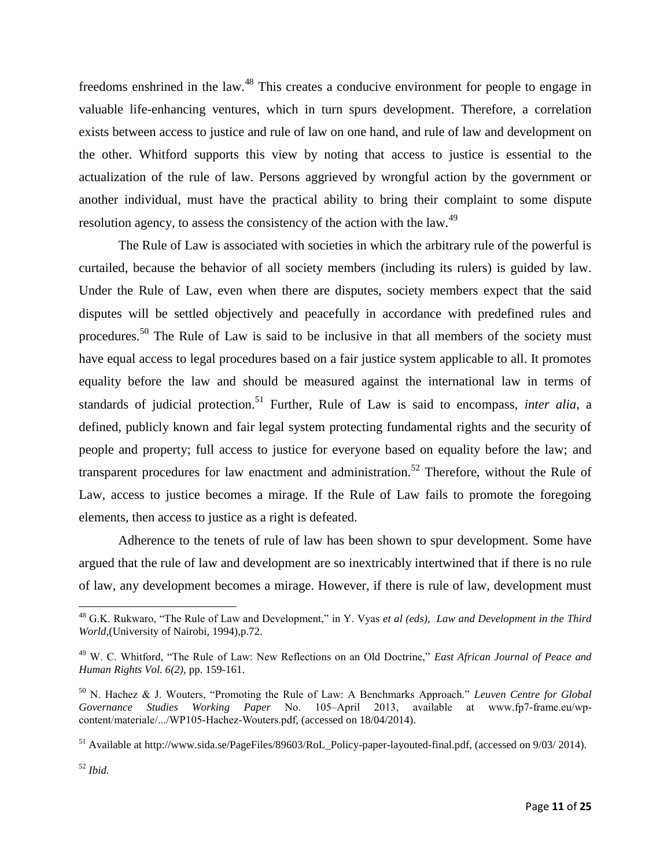freedoms enshrined in the law.<sup>48</sup> This creates a conducive environment for people to engage in valuable life-enhancing ventures, which in turn spurs development. Therefore, a correlation exists between access to justice and rule of law on one hand, and rule of law and development on the other. Whitford supports this view by noting that access to justice is essential to the actualization of the rule of law. Persons aggrieved by wrongful action by the government or another individual, must have the practical ability to bring their complaint to some dispute resolution agency, to assess the consistency of the action with the law.<sup>49</sup>

The Rule of Law is associated with societies in which the arbitrary rule of the powerful is curtailed, because the behavior of all society members (including its rulers) is guided by law. Under the Rule of Law, even when there are disputes, society members expect that the said disputes will be settled objectively and peacefully in accordance with predefined rules and procedures.<sup>50</sup> The Rule of Law is said to be inclusive in that all members of the society must have equal access to legal procedures based on a fair justice system applicable to all. It promotes equality before the law and should be measured against the international law in terms of standards of judicial protection.<sup>51</sup> Further, Rule of Law is said to encompass, *inter alia,* a defined, publicly known and fair legal system protecting fundamental rights and the security of people and property; full access to justice for everyone based on equality before the law; and transparent procedures for law enactment and administration.<sup>52</sup> Therefore, without the Rule of Law, access to justice becomes a mirage. If the Rule of Law fails to promote the foregoing elements, then access to justice as a right is defeated.

Adherence to the tenets of rule of law has been shown to spur development. Some have argued that the rule of law and development are so inextricably intertwined that if there is no rule of law, any development becomes a mirage. However, if there is rule of law, development must

 $\overline{a}$ 

<sup>48</sup> G.K. Rukwaro, "The Rule of Law and Development," in Y. Vyas *et al (eds), Law and Development in the Third World,*(University of Nairobi, 1994),p.72.

<sup>49</sup> W. C. Whitford, "The Rule of Law: New Reflections on an Old Doctrine," *East African Journal of Peace and Human Rights Vol. 6(2),* pp. 159-161.

<sup>50</sup> N. Hachez & J. Wouters, "Promoting the Rule of Law: A Benchmarks Approach." *Leuven Centre for Global Governance Studies Working Paper* No. 105–April 2013, available at www.fp7-frame.eu/wpcontent/materiale/.../WP105-Hachez-Wouters.pdf, (accessed on 18/04/2014).

 $<sup>51</sup>$  Available at http://www.sida.se/PageFiles/89603/RoL Policy-paper-layouted-final.pdf, (accessed on 9/03/ 2014).</sup>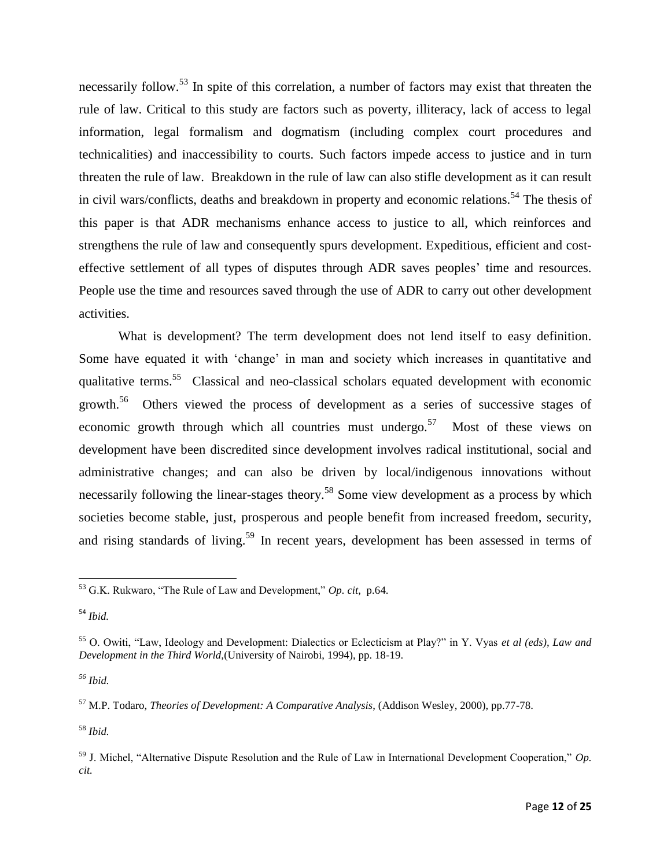necessarily follow.<sup>53</sup> In spite of this correlation, a number of factors may exist that threaten the rule of law. Critical to this study are factors such as poverty, illiteracy, lack of access to legal information, legal formalism and dogmatism (including complex court procedures and technicalities) and inaccessibility to courts. Such factors impede access to justice and in turn threaten the rule of law. Breakdown in the rule of law can also stifle development as it can result in civil wars/conflicts, deaths and breakdown in property and economic relations.<sup>54</sup> The thesis of this paper is that ADR mechanisms enhance access to justice to all, which reinforces and strengthens the rule of law and consequently spurs development. Expeditious, efficient and costeffective settlement of all types of disputes through ADR saves peoples' time and resources. People use the time and resources saved through the use of ADR to carry out other development activities.

What is development? The term development does not lend itself to easy definition. Some have equated it with 'change' in man and society which increases in quantitative and qualitative terms.<sup>55</sup> Classical and neo-classical scholars equated development with economic growth.<sup>56</sup> Others viewed the process of development as a series of successive stages of economic growth through which all countries must undergo.<sup>57</sup> Most of these views on development have been discredited since development involves radical institutional, social and administrative changes; and can also be driven by local/indigenous innovations without necessarily following the linear-stages theory.<sup>58</sup> Some view development as a process by which societies become stable, just, prosperous and people benefit from increased freedom, security, and rising standards of living.<sup>59</sup> In recent years, development has been assessed in terms of

<sup>58</sup> *Ibid.*

 $\overline{\phantom{a}}$ <sup>53</sup> G.K. Rukwaro, "The Rule of Law and Development," *Op. cit*, p.64.

<sup>54</sup> *Ibid.*

<sup>55</sup> O. Owiti, "Law, Ideology and Development: Dialectics or Eclecticism at Play?" in Y. Vyas *et al (eds), Law and Development in the Third World,*(University of Nairobi, 1994), pp. 18-19.

*<sup>56</sup> Ibid.*

<sup>57</sup> M.P. Todaro, *Theories of Development: A Comparative Analysis*, (Addison Wesley, 2000), pp.77-78.

<sup>59</sup> J. Michel, "Alternative Dispute Resolution and the Rule of Law in International Development Cooperation," *Op. cit.*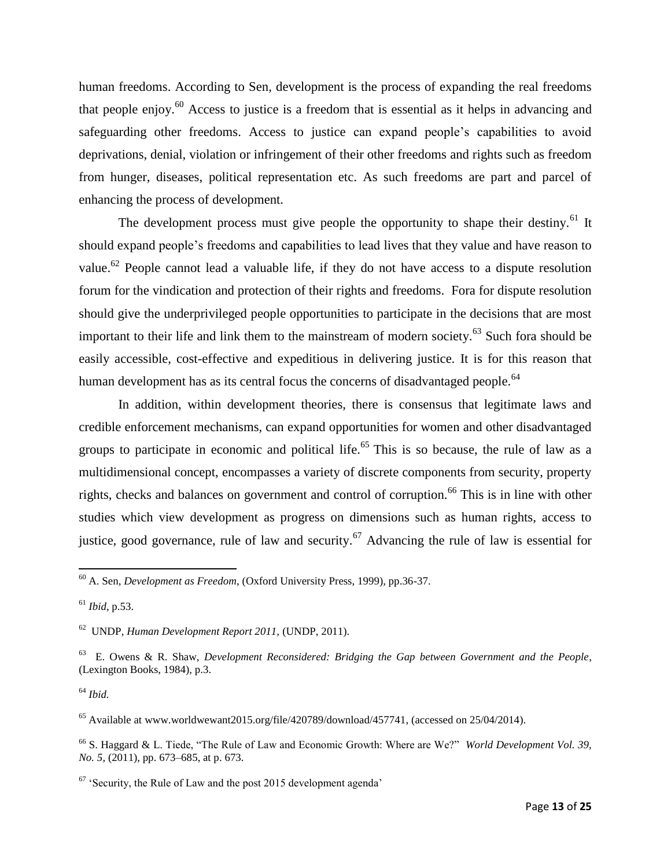human freedoms. According to Sen, development is the process of expanding the real freedoms that people enjoy.<sup>60</sup> Access to justice is a freedom that is essential as it helps in advancing and safeguarding other freedoms. Access to justice can expand people's capabilities to avoid deprivations, denial, violation or infringement of their other freedoms and rights such as freedom from hunger, diseases, political representation etc. As such freedoms are part and parcel of enhancing the process of development.

The development process must give people the opportunity to shape their destiny.<sup>61</sup> It should expand people's freedoms and capabilities to lead lives that they value and have reason to value.<sup>62</sup> People cannot lead a valuable life, if they do not have access to a dispute resolution forum for the vindication and protection of their rights and freedoms. Fora for dispute resolution should give the underprivileged people opportunities to participate in the decisions that are most important to their life and link them to the mainstream of modern society.<sup>63</sup> Such fora should be easily accessible, cost-effective and expeditious in delivering justice. It is for this reason that human development has as its central focus the concerns of disadvantaged people.<sup>64</sup>

In addition, within development theories, there is consensus that legitimate laws and credible enforcement mechanisms, can expand opportunities for women and other disadvantaged groups to participate in economic and political life.<sup>65</sup> This is so because, the rule of law as a multidimensional concept, encompasses a variety of discrete components from security, property rights, checks and balances on government and control of corruption.<sup>66</sup> This is in line with other studies which view development as progress on dimensions such as human rights, access to justice, good governance, rule of law and security.<sup>67</sup> Advancing the rule of law is essential for

 $\overline{\phantom{a}}$ 

<sup>65</sup> Available at [www.worldwewant2015.org/file/420789/download/457741,](http://www.worldwewant2015.org/file/420789/download/457741) (accessed on 25/04/2014).

<sup>60</sup> A. Sen, *Development as Freedom*, (Oxford University Press, 1999), pp.36-37.

<sup>61</sup> *Ibid*, p.53.

<sup>62</sup> UNDP, *Human Development Report 2011,* (UNDP, 2011).

<sup>63</sup> E. Owens & R. Shaw, *Development Reconsidered: Bridging the Gap between Government and the People*, (Lexington Books, 1984), p.3.

<sup>64</sup> *Ibid.*

<sup>66</sup> S. Haggard & L. Tiede, "The Rule of Law and Economic Growth: Where are We?" *World Development Vol. 39, No. 5*, (2011), pp. 673–685, at p. 673.

 $67$  'Security, the Rule of Law and the post 2015 development agenda'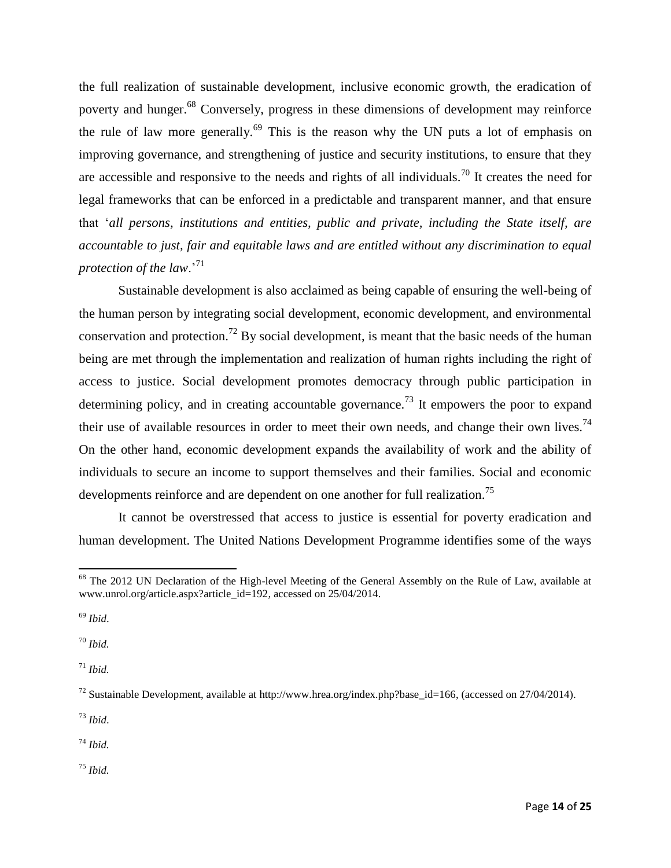the full realization of sustainable development, inclusive economic growth, the eradication of poverty and hunger.<sup>68</sup> Conversely, progress in these dimensions of development may reinforce the rule of law more generally.<sup>69</sup> This is the reason why the UN puts a lot of emphasis on improving governance, and strengthening of justice and security institutions, to ensure that they are accessible and responsive to the needs and rights of all individuals.<sup>70</sup> It creates the need for legal frameworks that can be enforced in a predictable and transparent manner, and that ensure that '*all persons, institutions and entities, public and private, including the State itself, are accountable to just, fair and equitable laws and are entitled without any discrimination to equal protection of the law*.'<sup>71</sup>

Sustainable development is also acclaimed as being capable of ensuring the well-being of the human person by integrating social development, economic development, and environmental conservation and protection.<sup>72</sup> By social development, is meant that the basic needs of the human being are met through the implementation and realization of human rights including the right of access to justice. Social development promotes democracy through public participation in determining policy, and in creating accountable governance.<sup>73</sup> It empowers the poor to expand their use of available resources in order to meet their own needs, and change their own lives.<sup>74</sup> On the other hand, economic development expands the availability of work and the ability of individuals to secure an income to support themselves and their families. Social and economic developments reinforce and are dependent on one another for full realization.<sup>75</sup>

It cannot be overstressed that access to justice is essential for poverty eradication and human development. The United Nations Development Programme identifies some of the ways

<sup>70</sup> *Ibid.*

<sup>71</sup> *Ibid.*

<sup>73</sup> *Ibid*.

<sup>74</sup> *Ibid.*

<sup>75</sup> *Ibid.*

 $\overline{\phantom{a}}$ <sup>68</sup> The 2012 UN Declaration of the High-level Meeting of the General Assembly on the Rule of Law, available at [www.unrol.org/article.aspx?article\\_id=192](http://www.unrol.org/article.aspx?article_id=192)*,* accessed on 25/04/2014.

<sup>69</sup> *Ibid*.

<sup>72</sup> Sustainable Development, available at [http://www.hrea.org/index.php?base\\_id=166,](http://www.hrea.org/index.php?base_id=166) (accessed on 27/04/2014).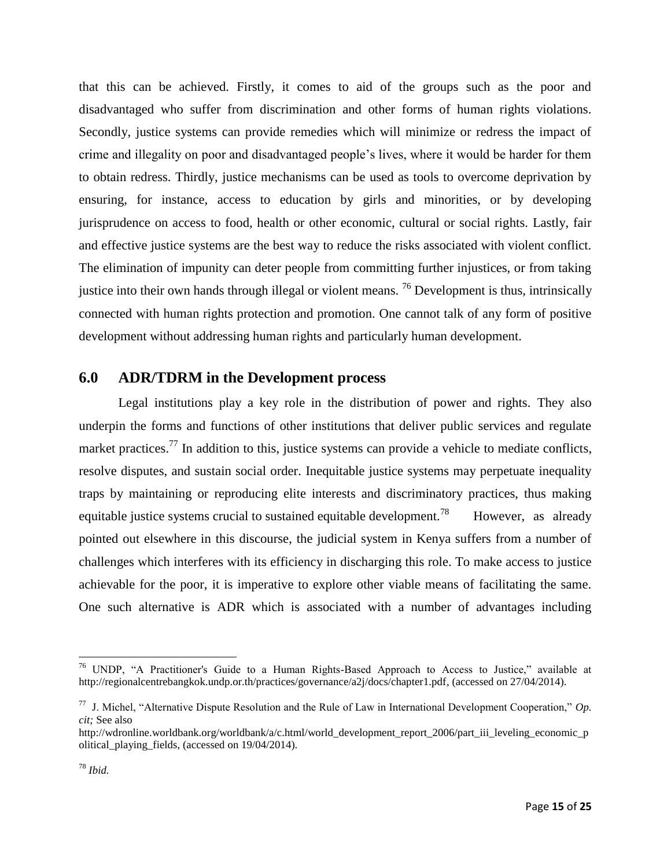that this can be achieved. Firstly, it comes to aid of the groups such as the poor and disadvantaged who suffer from discrimination and other forms of human rights violations. Secondly, justice systems can provide remedies which will minimize or redress the impact of crime and illegality on poor and disadvantaged people's lives, where it would be harder for them to obtain redress. Thirdly, justice mechanisms can be used as tools to overcome deprivation by ensuring, for instance, access to education by girls and minorities, or by developing jurisprudence on access to food, health or other economic, cultural or social rights. Lastly, fair and effective justice systems are the best way to reduce the risks associated with violent conflict. The elimination of impunity can deter people from committing further injustices, or from taking justice into their own hands through illegal or violent means.  $^{76}$  Development is thus, intrinsically connected with human rights protection and promotion. One cannot talk of any form of positive development without addressing human rights and particularly human development.

## **6.0 ADR/TDRM in the Development process**

Legal institutions play a key role in the distribution of power and rights. They also underpin the forms and functions of other institutions that deliver public services and regulate market practices.<sup>77</sup> In addition to this, justice systems can provide a vehicle to mediate conflicts, resolve disputes, and sustain social order. Inequitable justice systems may perpetuate inequality traps by maintaining or reproducing elite interests and discriminatory practices, thus making equitable justice systems crucial to sustained equitable development.<sup>78</sup> However, as already pointed out elsewhere in this discourse, the judicial system in Kenya suffers from a number of challenges which interferes with its efficiency in discharging this role. To make access to justice achievable for the poor, it is imperative to explore other viable means of facilitating the same. One such alternative is ADR which is associated with a number of advantages including

<sup>&</sup>lt;sup>76</sup> UNDP, "A Practitioner's Guide to a Human Rights-Based Approach to Access to Justice," available at [http://regionalcentrebangkok.undp.or.th/practices/governance/a2j/docs/chapter1.pdf,](http://regionalcentrebangkok.undp.or.th/practices/governance/a2j/docs/chapter1.pdf) (accessed on 27/04/2014).

<sup>&</sup>lt;sup>77</sup> J. Michel, "Alternative Dispute Resolution and the Rule of Law in International Development Cooperation," Op. *cit;* See also

[http://wdronline.worldbank.org/worldbank/a/c.html/world\\_development\\_report\\_2006/part\\_iii\\_leveling\\_economic\\_p](http://wdronline.worldbank.org/worldbank/a/c.html/world_development_report_2006/part_iii_leveling_economic_political_playing_fields) [olitical\\_playing\\_fields,](http://wdronline.worldbank.org/worldbank/a/c.html/world_development_report_2006/part_iii_leveling_economic_political_playing_fields) (accessed on 19/04/2014).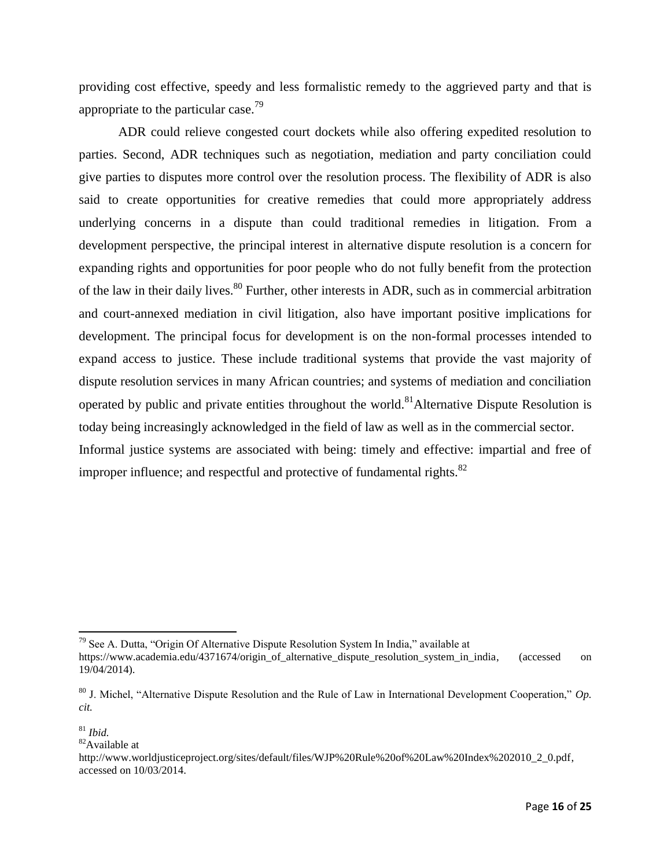providing cost effective, speedy and less formalistic remedy to the aggrieved party and that is appropriate to the particular case.<sup>79</sup>

ADR could relieve congested court dockets while also offering expedited resolution to parties. Second, ADR techniques such as negotiation, mediation and party conciliation could give parties to disputes more control over the resolution process. The flexibility of ADR is also said to create opportunities for creative remedies that could more appropriately address underlying concerns in a dispute than could traditional remedies in litigation. From a development perspective, the principal interest in alternative dispute resolution is a concern for expanding rights and opportunities for poor people who do not fully benefit from the protection of the law in their daily lives.<sup>80</sup> Further, other interests in ADR, such as in commercial arbitration and court-annexed mediation in civil litigation, also have important positive implications for development. The principal focus for development is on the non-formal processes intended to expand access to justice. These include traditional systems that provide the vast majority of dispute resolution services in many African countries; and systems of mediation and conciliation operated by public and private entities throughout the world.<sup>81</sup>Alternative Dispute Resolution is today being increasingly acknowledged in the field of law as well as in the commercial sector. Informal justice systems are associated with being: timely and effective: impartial and free of improper influence; and respectful and protective of fundamental rights. $82$ 

 $\overline{a}$ 

<sup>82</sup>Available at

 $79$  See A. Dutta, "Origin Of Alternative Dispute Resolution System In India," available at [https://www.academia.edu/4371674/origin\\_of\\_alternative\\_dispute\\_resolution\\_system\\_in\\_india,](https://www.academia.edu/4371674/origin_of_alternative_dispute_resolution_system_in_india) (accessed on 19/04/2014).

<sup>80</sup> J. Michel, "Alternative Dispute Resolution and the Rule of Law in International Development Cooperation," *Op. cit.*

<sup>81</sup> *Ibid.*

[http://www.worldjusticeproject.org/sites/default/files/WJP%20Rule%20of%20Law%20Index%202010\\_2\\_0.pdf,](http://www.worldjusticeproject.org/sites/default/files/WJP%20Rule%20of%20Law%20Index%202010_2_0.pdf) accessed on 10/03/2014.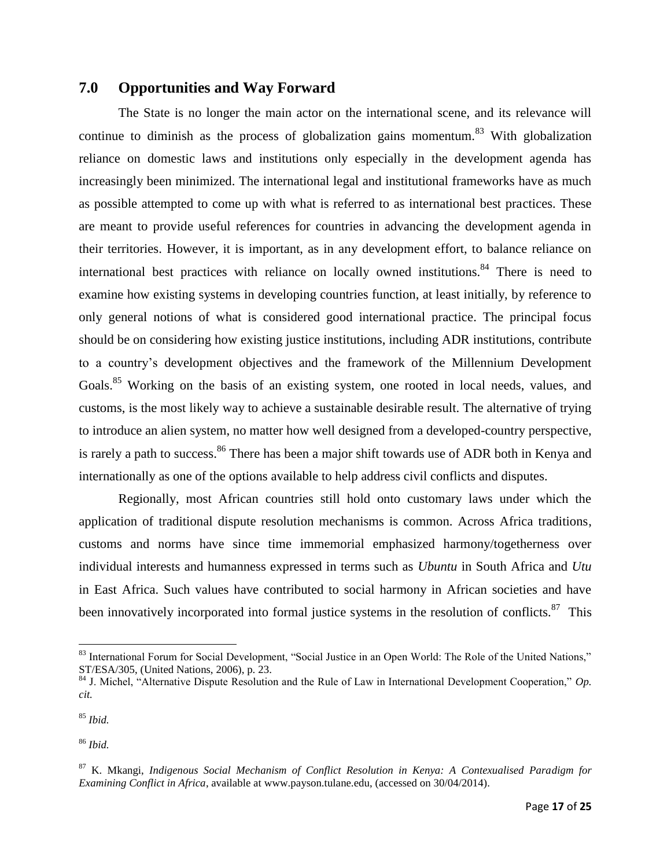## **7.0 Opportunities and Way Forward**

The State is no longer the main actor on the international scene, and its relevance will continue to diminish as the process of globalization gains momentum.<sup>83</sup> With globalization reliance on domestic laws and institutions only especially in the development agenda has increasingly been minimized. The international legal and institutional frameworks have as much as possible attempted to come up with what is referred to as international best practices. These are meant to provide useful references for countries in advancing the development agenda in their territories. However, it is important, as in any development effort, to balance reliance on international best practices with reliance on locally owned institutions. $84$  There is need to examine how existing systems in developing countries function, at least initially, by reference to only general notions of what is considered good international practice. The principal focus should be on considering how existing justice institutions, including ADR institutions, contribute to a country's development objectives and the framework of the Millennium Development Goals.<sup>85</sup> Working on the basis of an existing system, one rooted in local needs, values, and customs, is the most likely way to achieve a sustainable desirable result. The alternative of trying to introduce an alien system, no matter how well designed from a developed-country perspective, is rarely a path to success.<sup>86</sup> There has been a major shift towards use of ADR both in Kenya and internationally as one of the options available to help address civil conflicts and disputes.

Regionally, most African countries still hold onto customary laws under which the application of traditional dispute resolution mechanisms is common. Across Africa traditions, customs and norms have since time immemorial emphasized harmony/togetherness over individual interests and humanness expressed in terms such as *Ubuntu* in South Africa and *Utu*  in East Africa. Such values have contributed to social harmony in African societies and have been innovatively incorporated into formal justice systems in the resolution of conflicts.<sup>87</sup> This

 $\overline{a}$ 

<sup>&</sup>lt;sup>83</sup> International Forum for Social Development, "Social Justice in an Open World: The Role of the United Nations," ST/ESA/305, (United Nations, 2006), p. 23.

<sup>84</sup> J. Michel, "Alternative Dispute Resolution and the Rule of Law in International Development Cooperation," *Op. cit.*

<sup>85</sup> *Ibid.*

<sup>86</sup> *Ibid.*

<sup>87</sup> K. Mkangi, *Indigenous Social Mechanism of Conflict Resolution in Kenya: A Contexualised Paradigm for Examining Conflict in Africa*, available at [www.payson.tulane.edu,](http://www.payson.tulane.edu/) (accessed on 30/04/2014).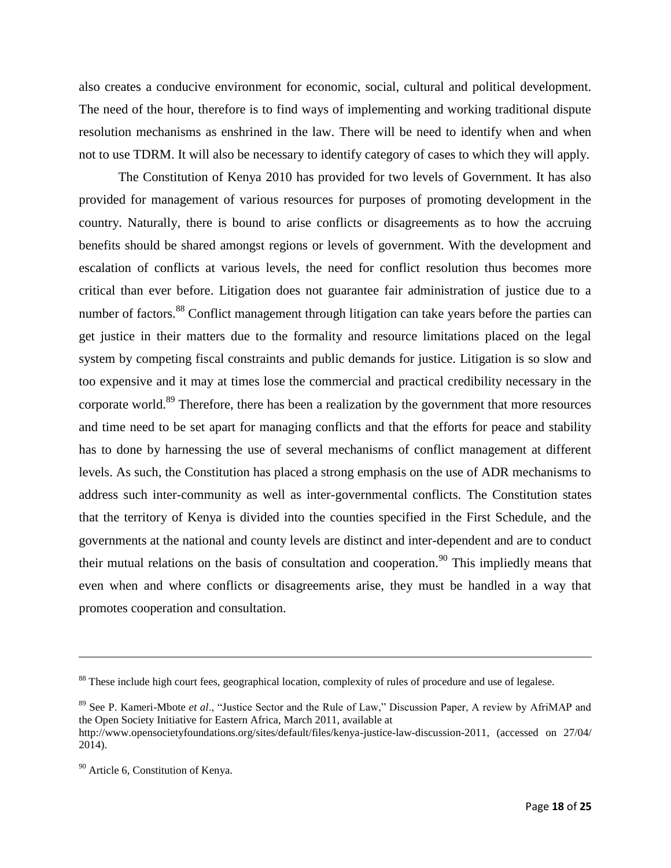also creates a conducive environment for economic, social, cultural and political development. The need of the hour, therefore is to find ways of implementing and working traditional dispute resolution mechanisms as enshrined in the law. There will be need to identify when and when not to use TDRM. It will also be necessary to identify category of cases to which they will apply.

The Constitution of Kenya 2010 has provided for two levels of Government. It has also provided for management of various resources for purposes of promoting development in the country. Naturally, there is bound to arise conflicts or disagreements as to how the accruing benefits should be shared amongst regions or levels of government. With the development and escalation of conflicts at various levels, the need for conflict resolution thus becomes more critical than ever before. Litigation does not guarantee fair administration of justice due to a number of factors.<sup>88</sup> Conflict management through litigation can take years before the parties can get justice in their matters due to the formality and resource limitations placed on the legal system by competing fiscal constraints and public demands for justice. Litigation is so slow and too expensive and it may at times lose the commercial and practical credibility necessary in the corporate world.<sup>89</sup> Therefore, there has been a realization by the government that more resources and time need to be set apart for managing conflicts and that the efforts for peace and stability has to done by harnessing the use of several mechanisms of conflict management at different levels. As such, the Constitution has placed a strong emphasis on the use of ADR mechanisms to address such inter-community as well as inter-governmental conflicts. The Constitution states that the territory of Kenya is divided into the counties specified in the First Schedule, and the governments at the national and county levels are distinct and inter-dependent and are to conduct their mutual relations on the basis of consultation and cooperation.<sup>90</sup> This impliedly means that even when and where conflicts or disagreements arise, they must be handled in a way that promotes cooperation and consultation.

<sup>&</sup>lt;sup>88</sup> These include high court fees, geographical location, complexity of rules of procedure and use of legalese.

<sup>89</sup> See P. Kameri-Mbote *et al*., "Justice Sector and the Rule of Law," Discussion Paper, A review by AfriMAP and the Open Society Initiative for Eastern Africa, March 2011, available at [http://www.opensocietyfoundations.org/sites/default/files/kenya-justice-law-discussion-2011,](http://www.opensocietyfoundations.org/sites/default/files/kenya-justice-law-discussion-2011) (accessed on 27/04/ 2014).

<sup>&</sup>lt;sup>90</sup> Article 6, Constitution of Kenya.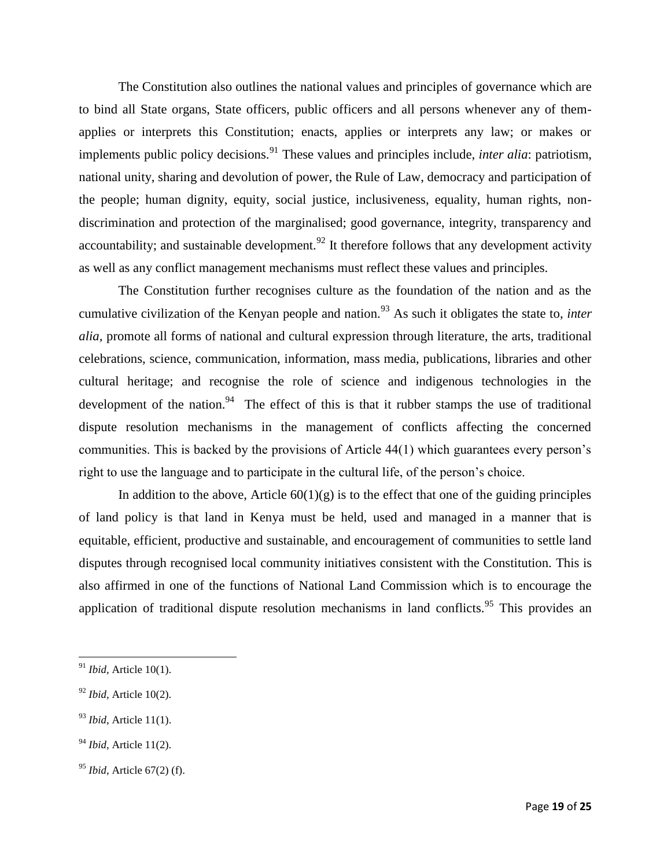The Constitution also outlines the national values and principles of governance which are to bind all State organs, State officers, public officers and all persons whenever any of themapplies or interprets this Constitution; enacts, applies or interprets any law; or makes or implements public policy decisions.<sup>91</sup> These values and principles include, *inter alia*: patriotism, national unity, sharing and devolution of power, the Rule of Law, democracy and participation of the people; human dignity, equity, social justice, inclusiveness, equality, human rights, nondiscrimination and protection of the marginalised; good governance, integrity, transparency and accountability; and sustainable development.<sup>92</sup> It therefore follows that any development activity as well as any conflict management mechanisms must reflect these values and principles.

The Constitution further recognises culture as the foundation of the nation and as the cumulative civilization of the Kenyan people and nation.<sup>93</sup> As such it obligates the state to, *inter alia,* promote all forms of national and cultural expression through literature, the arts, traditional celebrations, science, communication, information, mass media, publications, libraries and other cultural heritage; and recognise the role of science and indigenous technologies in the development of the nation.<sup>94</sup> The effect of this is that it rubber stamps the use of traditional dispute resolution mechanisms in the management of conflicts affecting the concerned communities. This is backed by the provisions of Article 44(1) which guarantees every person's right to use the language and to participate in the cultural life, of the person's choice.

In addition to the above, Article  $60(1)(g)$  is to the effect that one of the guiding principles of land policy is that land in Kenya must be held, used and managed in a manner that is equitable, efficient, productive and sustainable, and encouragement of communities to settle land disputes through recognised local community initiatives consistent with the Constitution. This is also affirmed in one of the functions of National Land Commission which is to encourage the application of traditional dispute resolution mechanisms in land conflicts.<sup>95</sup> This provides an

 $\overline{\phantom{a}}$ 

<sup>93</sup> *Ibid*, Article 11(1).

<sup>91</sup> *Ibid*, Article 10(1).

<sup>92</sup> *Ibid*, Article 10(2).

<sup>94</sup> *Ibid*, Article 11(2).

<sup>95</sup> *Ibid*, Article 67(2) (f).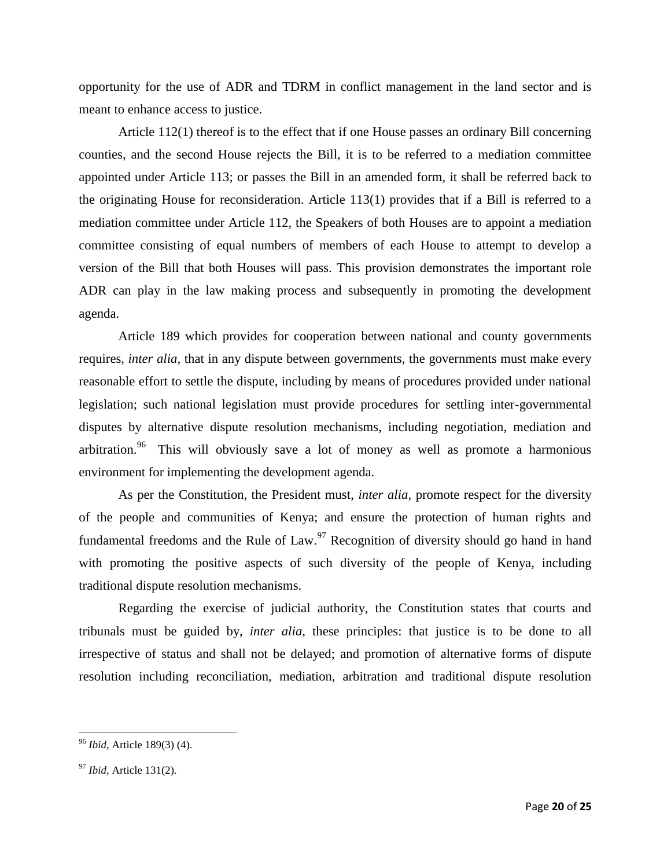opportunity for the use of ADR and TDRM in conflict management in the land sector and is meant to enhance access to justice.

Article 112(1) thereof is to the effect that if one House passes an ordinary Bill concerning counties, and the second House rejects the Bill, it is to be referred to a mediation committee appointed under Article 113; or passes the Bill in an amended form, it shall be referred back to the originating House for reconsideration. Article 113(1) provides that if a Bill is referred to a mediation committee under Article 112, the Speakers of both Houses are to appoint a mediation committee consisting of equal numbers of members of each House to attempt to develop a version of the Bill that both Houses will pass. This provision demonstrates the important role ADR can play in the law making process and subsequently in promoting the development agenda.

Article 189 which provides for cooperation between national and county governments requires, *inter alia,* that in any dispute between governments, the governments must make every reasonable effort to settle the dispute, including by means of procedures provided under national legislation; such national legislation must provide procedures for settling inter-governmental disputes by alternative dispute resolution mechanisms, including negotiation, mediation and arbitration.<sup>96</sup> This will obviously save a lot of money as well as promote a harmonious environment for implementing the development agenda.

As per the Constitution, the President must, *inter alia,* promote respect for the diversity of the people and communities of Kenya; and ensure the protection of human rights and fundamental freedoms and the Rule of Law.<sup>97</sup> Recognition of diversity should go hand in hand with promoting the positive aspects of such diversity of the people of Kenya, including traditional dispute resolution mechanisms.

Regarding the exercise of judicial authority, the Constitution states that courts and tribunals must be guided by, *inter alia,* these principles: that justice is to be done to all irrespective of status and shall not be delayed; and promotion of alternative forms of dispute resolution including reconciliation, mediation, arbitration and traditional dispute resolution

<sup>96</sup> *Ibid*, Article 189(3) (4).

<sup>97</sup> *Ibid*, Article 131(2).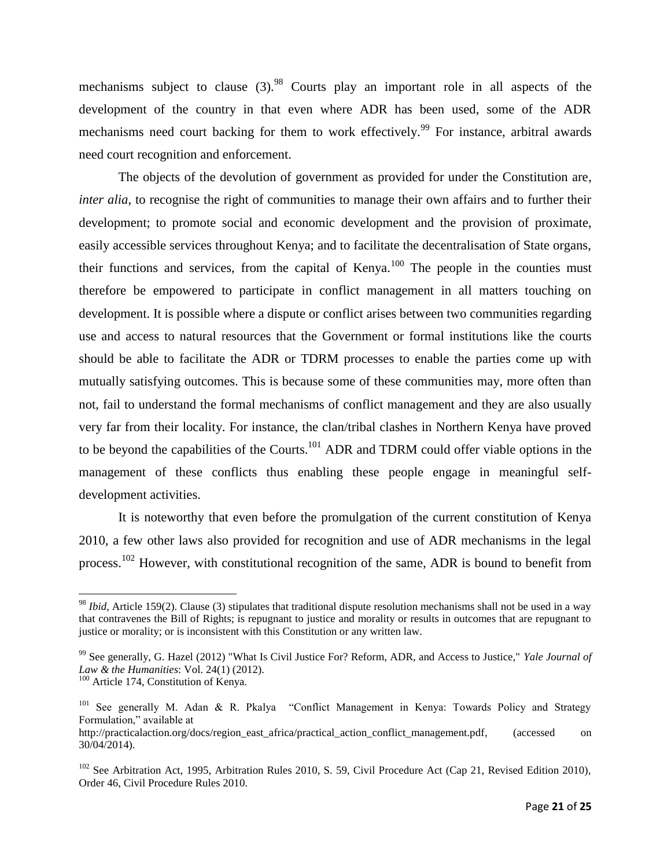mechanisms subject to clause  $(3)$ .<sup>98</sup> Courts play an important role in all aspects of the development of the country in that even where ADR has been used, some of the ADR mechanisms need court backing for them to work effectively.<sup>99</sup> For instance, arbitral awards need court recognition and enforcement.

The objects of the devolution of government as provided for under the Constitution are, *inter alia*, to recognise the right of communities to manage their own affairs and to further their development; to promote social and economic development and the provision of proximate, easily accessible services throughout Kenya; and to facilitate the decentralisation of State organs, their functions and services, from the capital of Kenya.<sup>100</sup> The people in the counties must therefore be empowered to participate in conflict management in all matters touching on development. It is possible where a dispute or conflict arises between two communities regarding use and access to natural resources that the Government or formal institutions like the courts should be able to facilitate the ADR or TDRM processes to enable the parties come up with mutually satisfying outcomes. This is because some of these communities may, more often than not, fail to understand the formal mechanisms of conflict management and they are also usually very far from their locality. For instance, the clan/tribal clashes in Northern Kenya have proved to be beyond the capabilities of the Courts.<sup>101</sup> ADR and TDRM could offer viable options in the management of these conflicts thus enabling these people engage in meaningful selfdevelopment activities.

It is noteworthy that even before the promulgation of the current constitution of Kenya 2010, a few other laws also provided for recognition and use of ADR mechanisms in the legal process.<sup>102</sup> However, with constitutional recognition of the same, ADR is bound to benefit from

l

<sup>98</sup> *Ibid,* Article 159(2). Clause (3) stipulates that traditional dispute resolution mechanisms shall not be used in a way that contravenes the Bill of Rights; is repugnant to justice and morality or results in outcomes that are repugnant to justice or morality; or is inconsistent with this Constitution or any written law*.*

<sup>99</sup> See generally, G. Hazel (2012) "What Is Civil Justice For? Reform, ADR, and Access to Justice," *Yale Journal of Law & the Humanities*: Vol. 24(1) (2012).

<sup>&</sup>lt;sup>100</sup> Article 174, Constitution of Kenya.

<sup>&</sup>lt;sup>101</sup> See generally M. Adan & R. Pkalya "Conflict Management in Kenya: Towards Policy and Strategy Formulation," available at

[http://practicalaction.org/docs/region\\_east\\_africa/practical\\_action\\_conflict\\_management.pdf,](http://practicalaction.org/docs/region_east_africa/practical_action_conflict_management.pdf) (accessed on 30/04/2014).

<sup>&</sup>lt;sup>102</sup> See Arbitration Act, 1995, Arbitration Rules 2010, S. 59, Civil Procedure Act (Cap 21, Revised Edition 2010), Order 46, Civil Procedure Rules 2010.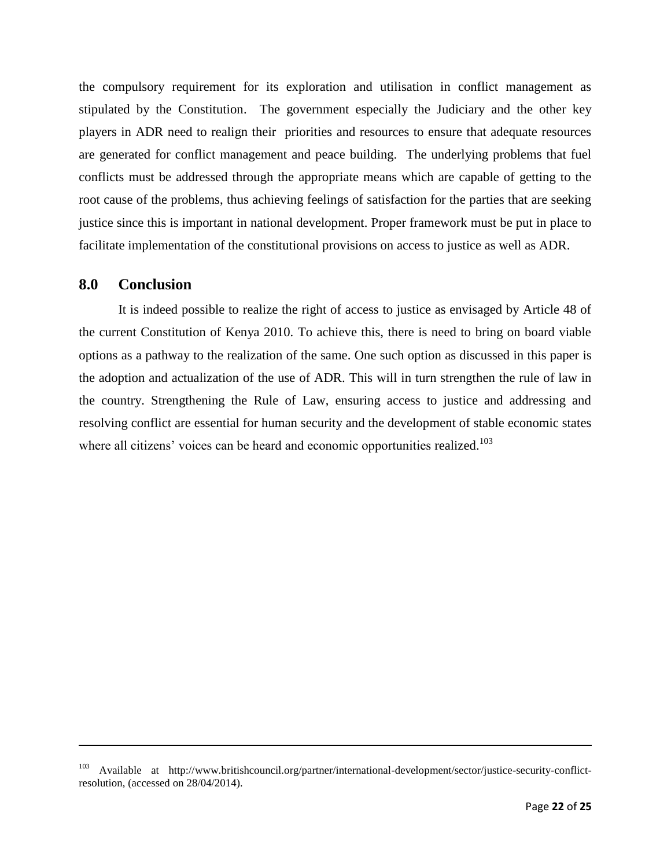the compulsory requirement for its exploration and utilisation in conflict management as stipulated by the Constitution. The government especially the Judiciary and the other key players in ADR need to realign their priorities and resources to ensure that adequate resources are generated for conflict management and peace building. The underlying problems that fuel conflicts must be addressed through the appropriate means which are capable of getting to the root cause of the problems, thus achieving feelings of satisfaction for the parties that are seeking justice since this is important in national development. Proper framework must be put in place to facilitate implementation of the constitutional provisions on access to justice as well as ADR.

## **8.0 Conclusion**

 $\overline{\phantom{a}}$ 

It is indeed possible to realize the right of access to justice as envisaged by Article 48 of the current Constitution of Kenya 2010. To achieve this, there is need to bring on board viable options as a pathway to the realization of the same. One such option as discussed in this paper is the adoption and actualization of the use of ADR. This will in turn strengthen the rule of law in the country. Strengthening the Rule of Law, ensuring access to justice and addressing and resolving conflict are essential for human security and the development of stable economic states where all citizens' voices can be heard and economic opportunities realized.<sup>103</sup>

<sup>103</sup> Available at [http://www.britishcouncil.org/partner/international-development/sector/justice-security-conflict](http://www.britishcouncil.org/partner/international-development/sector/justice-security-conflict-resolution)[resolution,](http://www.britishcouncil.org/partner/international-development/sector/justice-security-conflict-resolution) (accessed on 28/04/2014).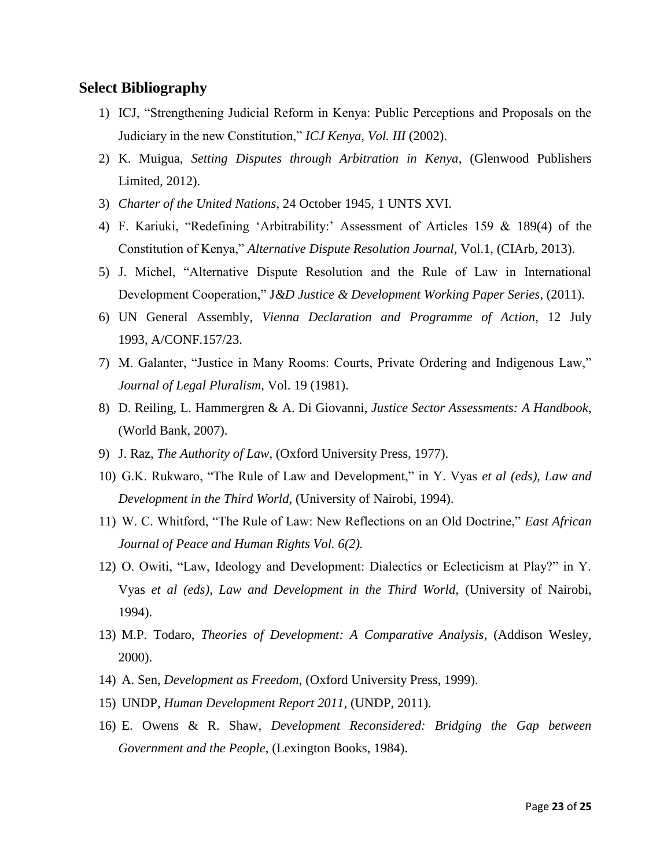#### **Select Bibliography**

- 1) ICJ, "Strengthening Judicial Reform in Kenya: Public Perceptions and Proposals on the Judiciary in the new Constitution," *ICJ Kenya, Vol. III* (2002).
- 2) K. Muigua, *Setting Disputes through Arbitration in Kenya*, (Glenwood Publishers Limited, 2012).
- 3) *Charter of the United Nations*, 24 October 1945, 1 UNTS XVI.
- 4) F. Kariuki, "Redefining 'Arbitrability:' Assessment of Articles 159 & 189(4) of the Constitution of Kenya," *Alternative Dispute Resolution Journal,* Vol.1, (CIArb, 2013).
- 5) J. Michel, "Alternative Dispute Resolution and the Rule of Law in International Development Cooperation," J*&D Justice & Development Working Paper Series*, (2011).
- 6) UN General Assembly, *Vienna Declaration and Programme of Action*, 12 July 1993, A/CONF.157/23.
- 7) M. Galanter, "Justice in Many Rooms: Courts, Private Ordering and Indigenous Law," *Journal of Legal Pluralism*, Vol. 19 (1981).
- 8) D. Reiling, L. Hammergren & A. Di Giovanni, *Justice Sector Assessments: A Handbook*, (World Bank, 2007).
- 9) J. Raz, *The Authority of Law*, (Oxford University Press, 1977).
- 10) G.K. Rukwaro, "The Rule of Law and Development," in Y. Vyas *et al (eds), Law and Development in the Third World,* (University of Nairobi, 1994).
- 11) W. C. Whitford, "The Rule of Law: New Reflections on an Old Doctrine," *East African Journal of Peace and Human Rights Vol. 6(2).*
- 12) O. Owiti, "Law, Ideology and Development: Dialectics or Eclecticism at Play?" in Y. Vyas *et al (eds), Law and Development in the Third World,* (University of Nairobi, 1994).
- 13) M.P. Todaro, *Theories of Development: A Comparative Analysis*, (Addison Wesley, 2000).
- 14) A. Sen, *Development as Freedom*, (Oxford University Press, 1999).
- 15) UNDP, *Human Development Report 2011,* (UNDP, 2011).
- 16) E. Owens & R. Shaw, *Development Reconsidered: Bridging the Gap between Government and the People*, (Lexington Books, 1984).